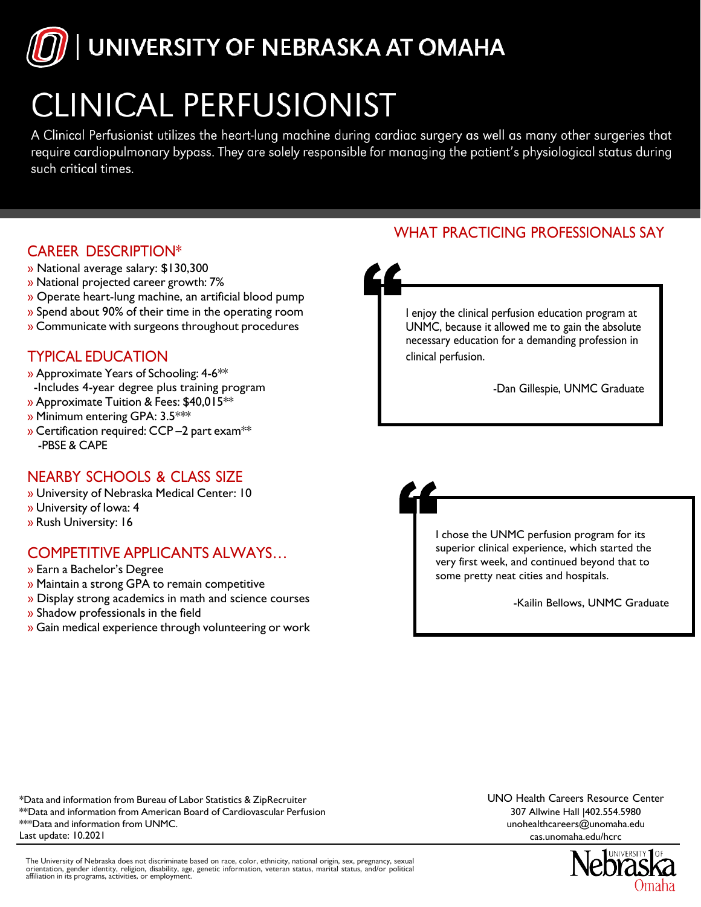

# **CLINICAL PERFUSIONIST**

A Clinical Perfusionist utilizes the heart-lung machine during cardiac surgery as well as many other surgeries that require cardiopulmonary bypass. They are solely responsible for managing the patient's physiological status during such critical times.

#### CAREER DESCRIPTION\*

- » National average salary: \$130,300
- » National projected career growth: 7%
- » Operate heart-lung machine, an artificial blood pump
- » Spend about 90% of their time in the operating room
- » Communicate with surgeons throughout procedures

#### TYPICAL EDUCATION

- » Approximate Years of Schooling: 4-6\*\* -Includes 4-year degree plus training program
- » Approximate Tuition & Fees: \$40,015\*\*
- » Minimum entering GPA: 3.5\*\*\*
- » Certification required: CCP –2 part exam\*\* -PBSE & CAPE

#### NEARBY SCHOOLS & CLASS SIZE

- » University of Nebraska Medical Center: 10
- » University of Iowa: 4
- » Rush University: 16

## COMPETITIVE APPLICANTS ALWAYS…

- » Earn a Bachelor's Degree
- » Maintain a strong GPA to remain competitive
- » Display strong academics in math and science courses
- » Shadow professionals in the field
- » Gain medical experience through volunteering or work

### WHAT PRACTICING PROFESSIONALS SAY



I enjoy the clinical perfusion education program at UNMC, because it allowed me to gain the absolute necessary education for a demanding profession in clinical perfusion.

-Dan Gillespie, UNMC Graduate

I chose the UNMC perfusion program for its superior clinical experience, which started the very first week, and continued beyond that to some pretty neat cities and hospitals.

-Kailin Bellows, UNMC Graduate

\*Data and information from Bureau of Labor Statistics & ZipRecruiter \*\*Data and information from American Board of Cardiovascular Perfusion \*\*\*Data and information from UNMC. Last update: 10.2021

The University of Nebraska does not discriminate based on race, color, ethnicity, national origin, sex, pregnancy, sexual orientation, gender identity, religion, disability, age, genetic information, veteran status, marital status, and/or political affiliation in its programs, activities, or employment. UNO Health Careers Resource Center [307 Allwine Hall |402.554.59](mailto:unohealthcareers@unomaha.edu)80 unohealthcareers@unomaha.edu cas.unomaha.edu/hcrc